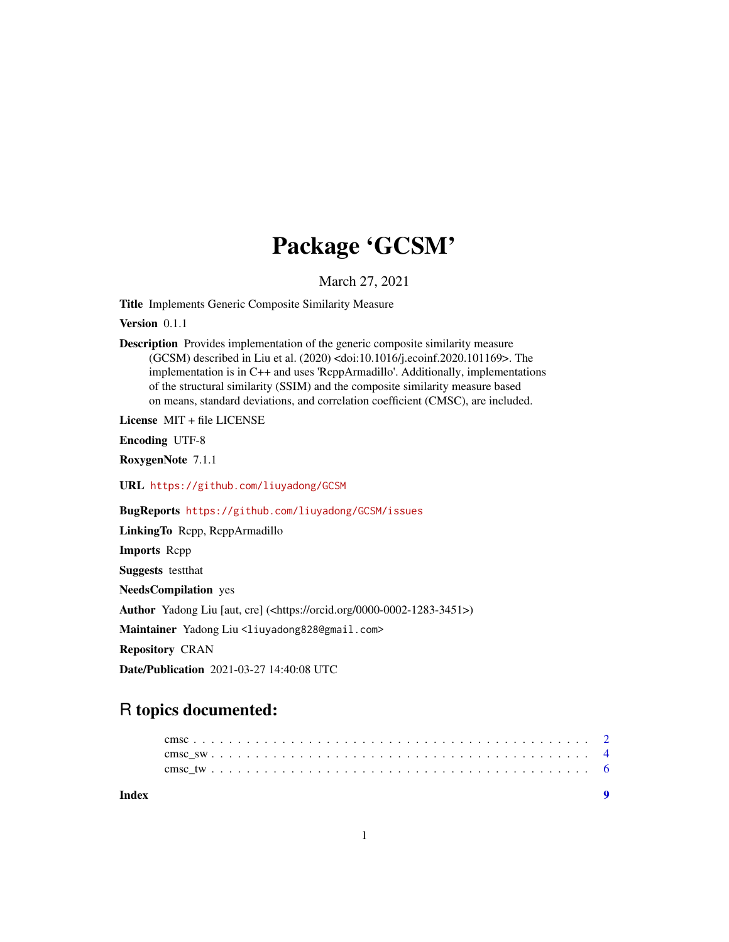## Package 'GCSM'

March 27, 2021

Title Implements Generic Composite Similarity Measure

Version 0.1.1

Description Provides implementation of the generic composite similarity measure (GCSM) described in Liu et al. (2020) <doi:10.1016/j.ecoinf.2020.101169>. The implementation is in C++ and uses 'RcppArmadillo'. Additionally, implementations of the structural similarity (SSIM) and the composite similarity measure based on means, standard deviations, and correlation coefficient (CMSC), are included.

License MIT + file LICENSE

Encoding UTF-8

RoxygenNote 7.1.1

URL <https://github.com/liuyadong/GCSM>

BugReports <https://github.com/liuyadong/GCSM/issues>

LinkingTo Rcpp, RcppArmadillo Imports Rcpp Suggests testthat NeedsCompilation yes Author Yadong Liu [aut, cre] (<https://orcid.org/0000-0002-1283-3451>) Maintainer Yadong Liu <liuyadong828@gmail.com> Repository CRAN Date/Publication 2021-03-27 14:40:08 UTC

### R topics documented:

| Index |  |  |  |  |  |  |  |  |  |  |  |  |  |  |  |  |  |  | $\blacksquare$ |  |
|-------|--|--|--|--|--|--|--|--|--|--|--|--|--|--|--|--|--|--|----------------|--|
|       |  |  |  |  |  |  |  |  |  |  |  |  |  |  |  |  |  |  |                |  |
|       |  |  |  |  |  |  |  |  |  |  |  |  |  |  |  |  |  |  |                |  |
|       |  |  |  |  |  |  |  |  |  |  |  |  |  |  |  |  |  |  |                |  |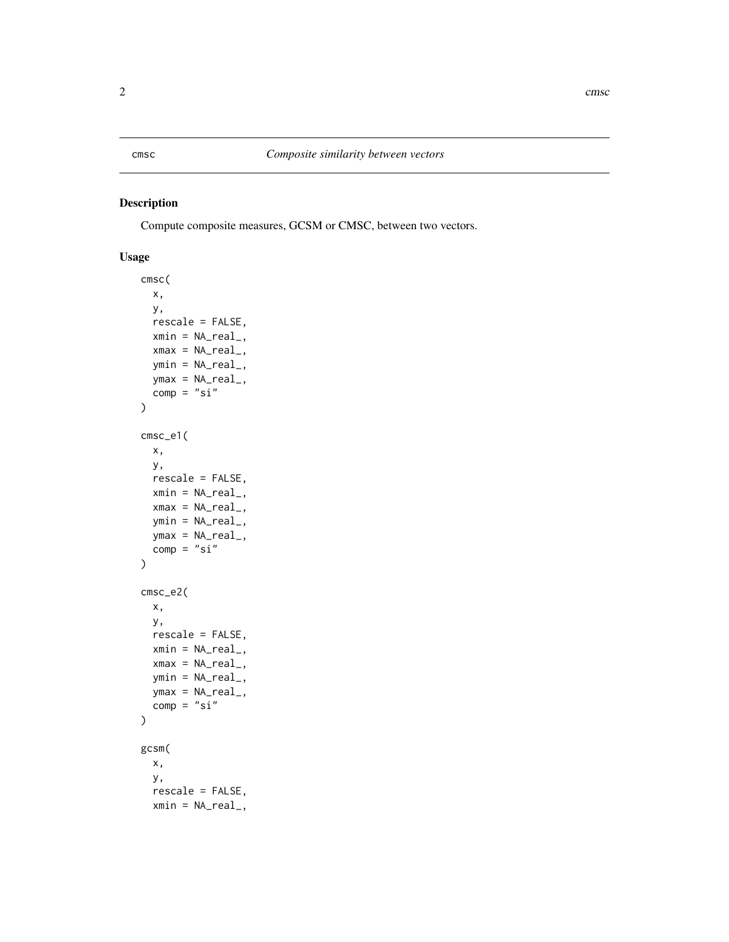#### <span id="page-1-0"></span>Description

Compute composite measures, GCSM or CMSC, between two vectors.

#### Usage

```
cmsc(
 x,
 y,
 rescale = FALSE,
 xmin = NA_real_,
 xmax = NA_real_,
 ymin = NA_real_,
 ymax = NA\_real_comp = "si"\mathcal{L}cmsc_e1(
 x,
 y,
 rescale = FALSE,
 xmin = NA\_real_xmax = NA_{real_ymin = NA_real_,
 ymax = NA\_real_comp = "si"\mathcal{E}cmsc_e2(
 x,
 y,
 rescale = FALSE,
 xmin = NA\_real_xmax = NA\_real_,
  ymin = NA_real_,
 ymax = NA\_real_comp = "si"\mathcal{L}gcsm(
  x,
  y,
  rescale = FALSE,
 xmin = NA_real_,
```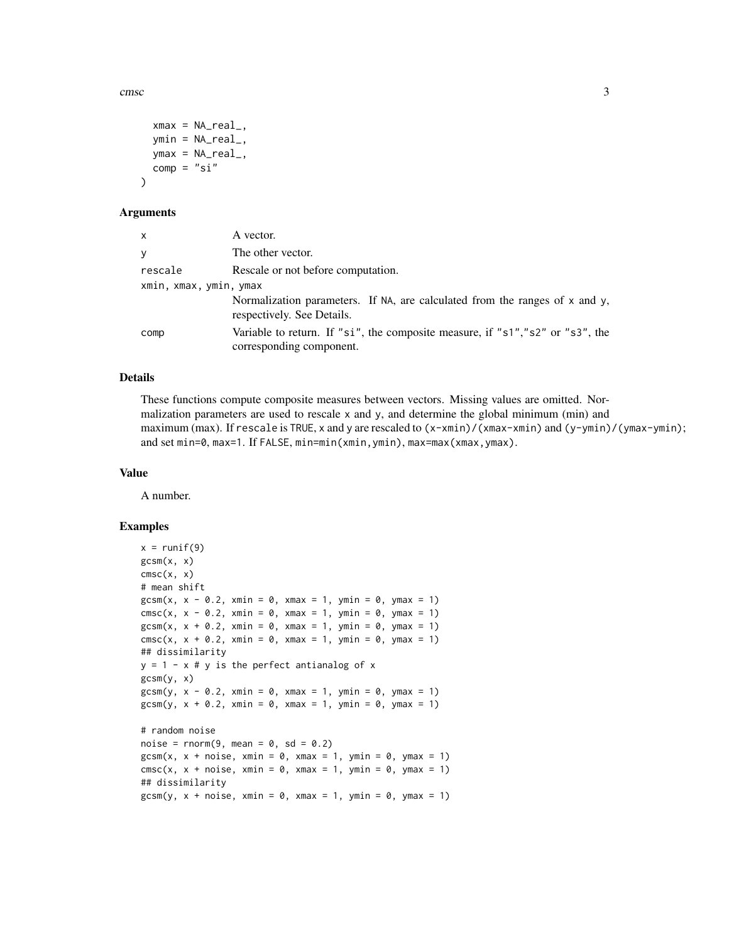cmsc 3

```
xmax = NA_real_,
ymin = NA\_real_ymax = NA\_real_.
comp = "si"
```
#### Arguments

)

| X                      | A vector.                                                                                                      |  |  |  |  |
|------------------------|----------------------------------------------------------------------------------------------------------------|--|--|--|--|
| y                      | The other vector.                                                                                              |  |  |  |  |
| rescale                | Rescale or not before computation.                                                                             |  |  |  |  |
| xmin, xmax, ymin, ymax |                                                                                                                |  |  |  |  |
|                        | Normalization parameters. If NA, are calculated from the ranges of $x$ and $y$ ,<br>respectively. See Details. |  |  |  |  |
| comp                   | Variable to return. If "si", the composite measure, if "s1","s2" or "s3", the<br>corresponding component.      |  |  |  |  |

#### Details

These functions compute composite measures between vectors. Missing values are omitted. Normalization parameters are used to rescale  $x$  and  $y$ , and determine the global minimum (min) and maximum (max). If rescale is TRUE, x and y are rescaled to  $(x-xmin)/(xmax-xmin)$  and  $(y-ymin)/(ymax-ymin)$ ; and set min=0, max=1. If FALSE, min=min(xmin,ymin), max=max(xmax,ymax).

#### Value

A number.

#### Examples

```
x = runif(9)gcsm(x, x)\n  <b>cmsc</b>(x, x)# mean shift
gcsm(x, x - 0.2, xmin = 0, xmax = 1, ymin = 0, ymax = 1)
cmsc(x, x - 0.2, xmin = 0, xmax = 1, ymin = 0, ymax = 1)
gcsm(x, x + 0.2, xmin = 0, xmax = 1, ymin = 0, ymax = 1)\text{cmsc}(x, x + 0.2, x \text{min} = 0, x \text{max} = 1, y \text{min} = 0, y \text{max} = 1)## dissimilarity
y = 1 - x # y is the perfect antianalog of x
gcsm(y, x)gcsm(y, x - 0.2, xmin = 0, xmax = 1, ymin = 0, ymax = 1)gcsm(y, x + 0.2, xmin = 0, xmax = 1, ymin = 0, ymax = 1)# random noise
noise = rnorm(9, mean = 0, sd = 0.2)gcsm(x, x + noise, xmin = 0, xmax = 1, ymin = 0, ymax = 1)\text{cmsc}(x, x + \text{noise}, x \text{min} = \emptyset, x \text{max} = 1, y \text{min} = \emptyset, y \text{max} = 1)## dissimilarity
gcsm(y, x + noise, xmin = 0, xmax = 1, ymin = 0, ymax = 1)
```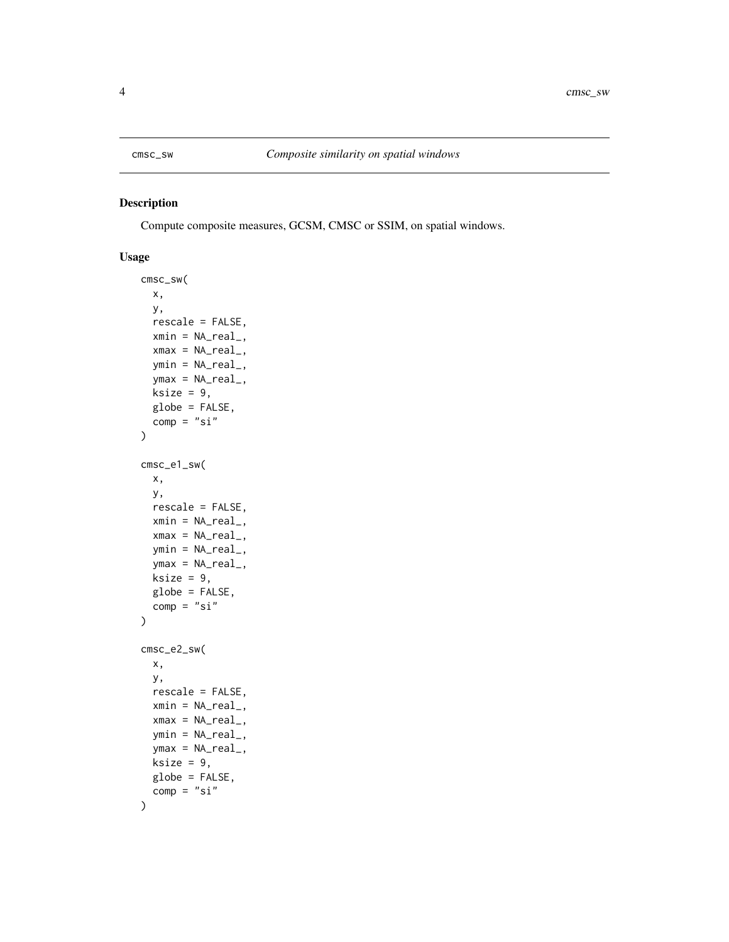<span id="page-3-0"></span>

#### Description

Compute composite measures, GCSM, CMSC or SSIM, on spatial windows.

#### Usage

```
cmsc_sw(
 x,
 y,
 rescale = FALSE,
 xmin = NA\_real_xmax = NA_real_,
 ymin = NA_real_,
 ymax = NA\_real_ksize = 9,globe = FALSE,
 comp = "si")
cmsc_e1_sw(
 x,
 y,
 rescale = FALSE,
  xmin = NA\_real_xmax = NA_{real_ymin = NA_real_,
  ymax = NA\_real_ksize = 9,globe = FALSE,
  comp = "si"\mathcal{E}cmsc_e2_sw(
 x,
 y,
 rescale = FALSE,
 xmin = NA_real_,
 xmax = NA_{real_ymin = NA\_real_ymax = NA\_real_ksize = 9,
 globe = FALSE,
  comp = "si"\mathcal{E}
```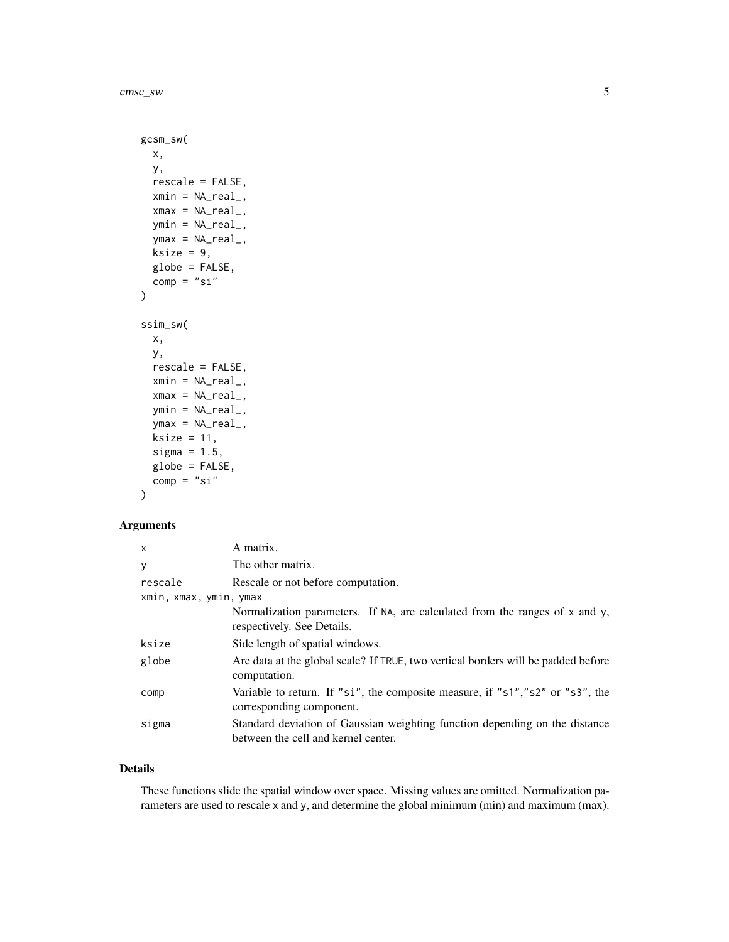cmsc\_sw 5

```
gcsm_sw(
 x,
 y,
  rescale = FALSE,
 xmin = NA_real_,
 xmax = NA_{real_ymin = NA\_real_ymax = NA\_real_ksize = 9,globe = FALSE,
  comp = "si")
ssim_sw(
  x,
 y,
  rescale = FALSE,
 xmin = NA_real_,
  xmax = NA_{real_ymin = NA_real_,
  ymax = NA_{real_ksize = 11,sigma = 1.5,
  globe = FALSE,
  comp = "si"\mathcal{E}
```
#### Arguments

| $\times$               | A matrix.                                                                                                          |
|------------------------|--------------------------------------------------------------------------------------------------------------------|
| y                      | The other matrix.                                                                                                  |
| rescale                | Rescale or not before computation.                                                                                 |
| xmin, xmax, ymin, ymax |                                                                                                                    |
|                        | Normalization parameters. If NA, are calculated from the ranges of x and y,<br>respectively. See Details.          |
| ksize                  | Side length of spatial windows.                                                                                    |
| globe                  | Are data at the global scale? If TRUE, two vertical borders will be padded before<br>computation.                  |
| comp                   | Variable to return. If "si", the composite measure, if "s1","s2" or "s3", the<br>corresponding component.          |
| sigma                  | Standard deviation of Gaussian weighting function depending on the distance<br>between the cell and kernel center. |

#### Details

These functions slide the spatial window over space. Missing values are omitted. Normalization parameters are used to rescale x and y, and determine the global minimum (min) and maximum (max).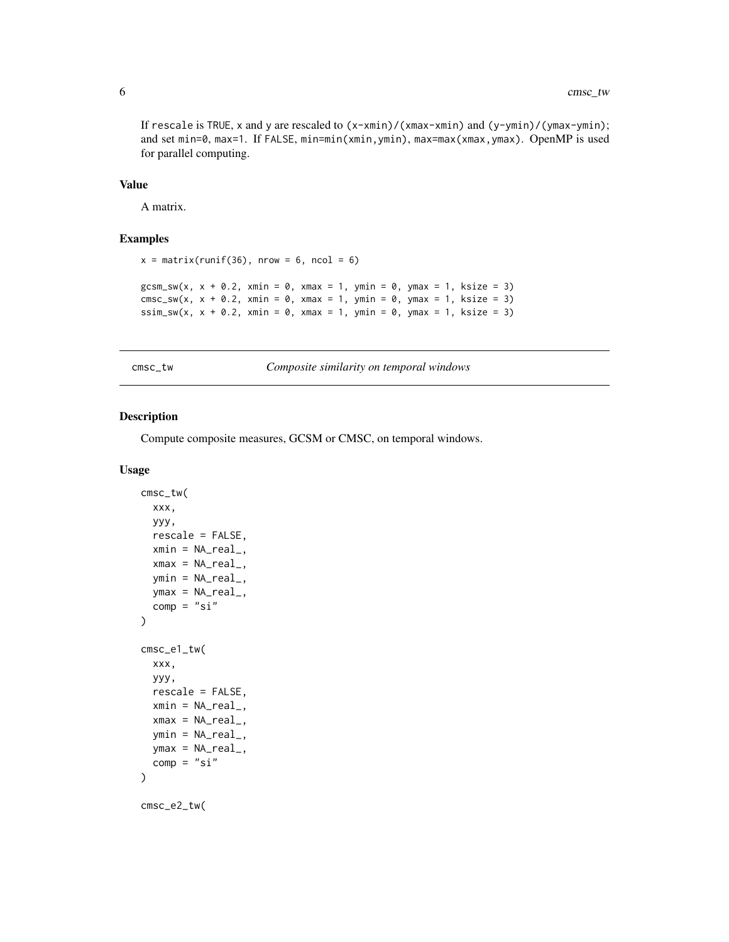<span id="page-5-0"></span>If rescale is TRUE, x and y are rescaled to (x-xmin)/(xmax-xmin) and (y-ymin)/(ymax-ymin); and set min=0, max=1. If FALSE, min=min(xmin,ymin), max=max(xmax,ymax). OpenMP is used for parallel computing.

#### Value

A matrix.

#### Examples

```
x = matrix(runit(36), nrow = 6, ncol = 6)gcsm_sw(x, x + 0.2, xmin = 0, xmax = 1, ymin = 0, ymax = 1, ksize = 3)
\n  \text{cmsc\_sw}(x, x + 0.2, x \text{min} = 0, x \text{max} = 1, y \text{min} = 0, y \text{max} = 1, k \text{size} = 3)\nssim_sw(x, x + 0.2, xmin = 0, xmax = 1, ymin = 0, ymax = 1, ksize = 3)
```
cmsc\_tw *Composite similarity on temporal windows*

#### Description

Compute composite measures, GCSM or CMSC, on temporal windows.

#### Usage

```
cmsc_tw(
  xxx,
 yyy,
  rescale = FALSE,
 xmin = NA\_real_xmax = NA_{real_,
  ymin = NA\_real_ymax = NA_real_,
  comp = "si")
cmsc_e1_tw(
 xxx,
 yyy,
  rescale = FALSE,
  xmin = NA\_real_xmax = NA_{real_,
  ymin = NA\_real_,
 ymax = NA\_real_comp = "si")
cmsc_e2_tw(
```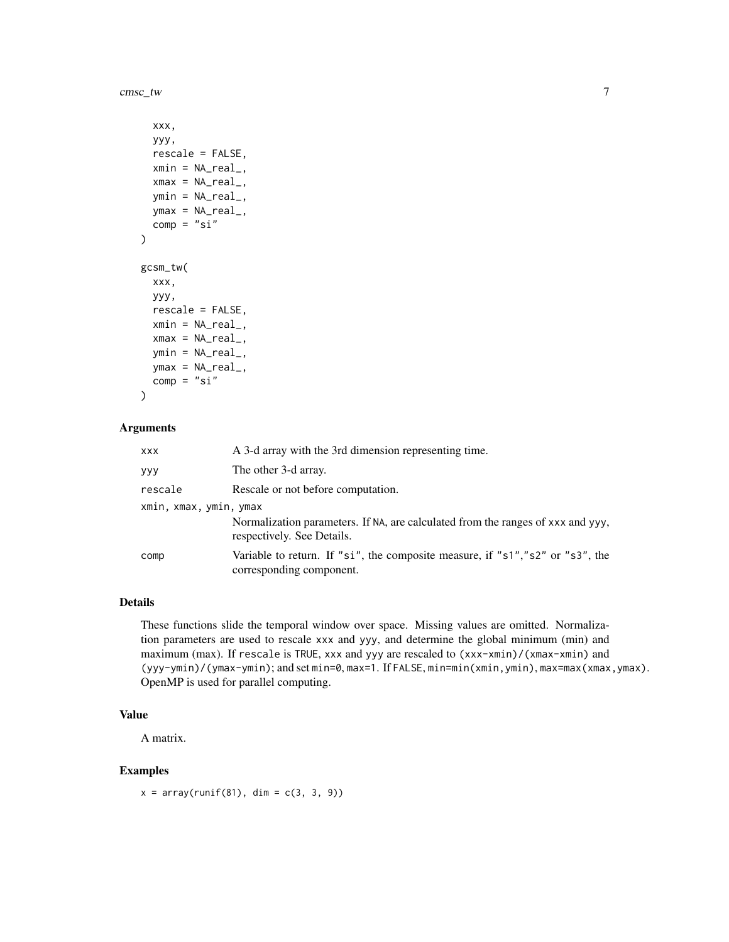cmsc\_tw 7

```
xxx,
 yyy,
 rescale = FALSE,
 xmin = NA_real_,
 xmax = NA_{real_ymin = NA_real_,
 ymax = NA_real_,
 comp = "si"\lambdagcsm_tw(
 xxx,
 yyy,
 rescale = FALSE,
 xmin = NA\_real_xmax = NA_real_,
 ymin = NA_real_,
 ymax = NA\_real_comp = "si"
```

```
\lambda
```
#### Arguments

| XXX                    | A 3-d array with the 3rd dimension representing time.                                                         |
|------------------------|---------------------------------------------------------------------------------------------------------------|
| yyy                    | The other 3-d array.                                                                                          |
| rescale                | Rescale or not before computation.                                                                            |
| xmin, xmax, ymin, ymax |                                                                                                               |
|                        | Normalization parameters. If NA, are calculated from the ranges of xxx and yyy,<br>respectively. See Details. |
| comp                   | Variable to return. If "si", the composite measure, if "s1","s2" or "s3", the<br>corresponding component.     |

#### Details

These functions slide the temporal window over space. Missing values are omitted. Normalization parameters are used to rescale xxx and yyy, and determine the global minimum (min) and maximum (max). If rescale is TRUE, xxx and yyy are rescaled to (xxx-xmin)/(xmax-xmin) and (yyy-ymin)/(ymax-ymin); and set min=0, max=1. If FALSE, min=min(xmin,ymin), max=max(xmax,ymax). OpenMP is used for parallel computing.

#### Value

A matrix.

#### Examples

 $x = array(runif(81), dim = c(3, 3, 9))$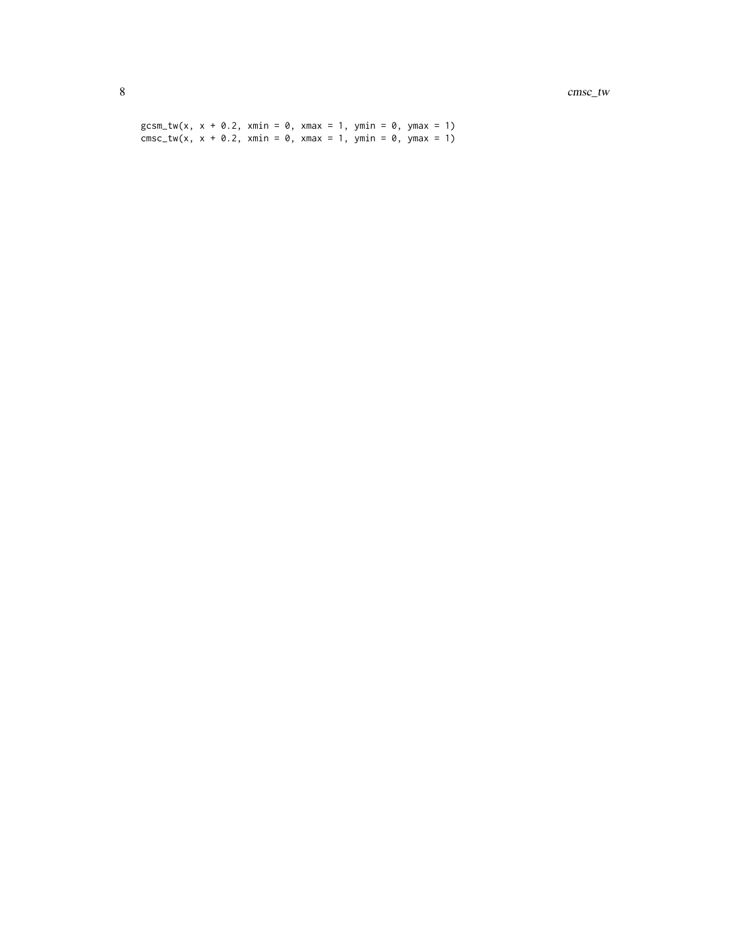$gcsm_{t}w(x, x + 0.2, xmin = 0, xmax = 1, ymin = 0, ymax = 1)$  $cmsc_{x}$  x + 0.2, xmin = 0, xmax = 1, ymin = 0, ymax = 1)